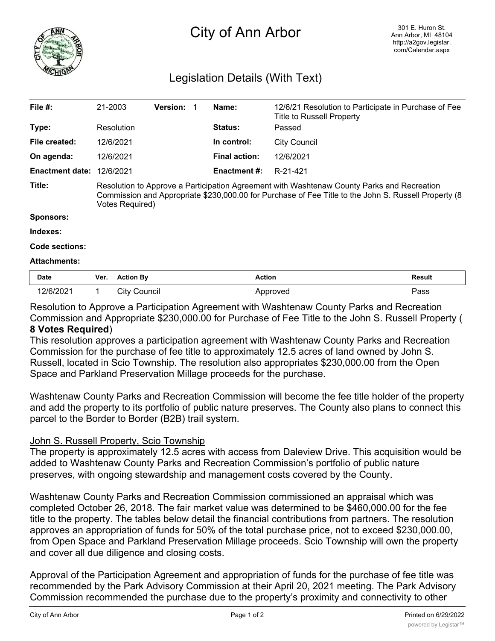

## City of Ann Arbor

## Legislation Details (With Text)

| File $#$ :             | 21-2003                                                                                                                                                                                                               |                  | <b>Version:</b> |  | Name:                | 12/6/21 Resolution to Participate in Purchase of Fee<br><b>Title to Russell Property</b> |               |
|------------------------|-----------------------------------------------------------------------------------------------------------------------------------------------------------------------------------------------------------------------|------------------|-----------------|--|----------------------|------------------------------------------------------------------------------------------|---------------|
| Type:                  |                                                                                                                                                                                                                       | Resolution       |                 |  | <b>Status:</b>       | Passed                                                                                   |               |
| File created:          |                                                                                                                                                                                                                       | 12/6/2021        |                 |  | In control:          | <b>City Council</b>                                                                      |               |
| On agenda:             |                                                                                                                                                                                                                       | 12/6/2021        |                 |  | <b>Final action:</b> | 12/6/2021                                                                                |               |
| <b>Enactment date:</b> |                                                                                                                                                                                                                       | 12/6/2021        |                 |  | <b>Enactment #:</b>  | R-21-421                                                                                 |               |
| Title:                 | Resolution to Approve a Participation Agreement with Washtenaw County Parks and Recreation<br>Commission and Appropriate \$230,000.00 for Purchase of Fee Title to the John S. Russell Property (8<br>Votes Required) |                  |                 |  |                      |                                                                                          |               |
| <b>Sponsors:</b>       |                                                                                                                                                                                                                       |                  |                 |  |                      |                                                                                          |               |
| Indexes:               |                                                                                                                                                                                                                       |                  |                 |  |                      |                                                                                          |               |
| Code sections:         |                                                                                                                                                                                                                       |                  |                 |  |                      |                                                                                          |               |
| <b>Attachments:</b>    |                                                                                                                                                                                                                       |                  |                 |  |                      |                                                                                          |               |
| <b>Date</b>            | Ver.                                                                                                                                                                                                                  | <b>Action By</b> |                 |  | <b>Action</b>        |                                                                                          | <b>Result</b> |
| 12/6/2021              |                                                                                                                                                                                                                       | City Council     |                 |  |                      | Approved                                                                                 | Pass          |

Resolution to Approve a Participation Agreement with Washtenaw County Parks and Recreation Commission and Appropriate \$230,000.00 for Purchase of Fee Title to the John S. Russell Property ( **8 Votes Required**)

This resolution approves a participation agreement with Washtenaw County Parks and Recreation Commission for the purchase of fee title to approximately 12.5 acres of land owned by John S. Russell, located in Scio Township. The resolution also appropriates \$230,000.00 from the Open Space and Parkland Preservation Millage proceeds for the purchase.

Washtenaw County Parks and Recreation Commission will become the fee title holder of the property and add the property to its portfolio of public nature preserves. The County also plans to connect this parcel to the Border to Border (B2B) trail system.

## John S. Russell Property, Scio Township

The property is approximately 12.5 acres with access from Daleview Drive. This acquisition would be added to Washtenaw County Parks and Recreation Commission's portfolio of public nature preserves, with ongoing stewardship and management costs covered by the County.

Washtenaw County Parks and Recreation Commission commissioned an appraisal which was completed October 26, 2018. The fair market value was determined to be \$460,000.00 for the fee title to the property. The tables below detail the financial contributions from partners. The resolution approves an appropriation of funds for 50% of the total purchase price, not to exceed \$230,000.00, from Open Space and Parkland Preservation Millage proceeds. Scio Township will own the property and cover all due diligence and closing costs.

Approval of the Participation Agreement and appropriation of funds for the purchase of fee title was recommended by the Park Advisory Commission at their April 20, 2021 meeting. The Park Advisory Commission recommended the purchase due to the property's proximity and connectivity to other